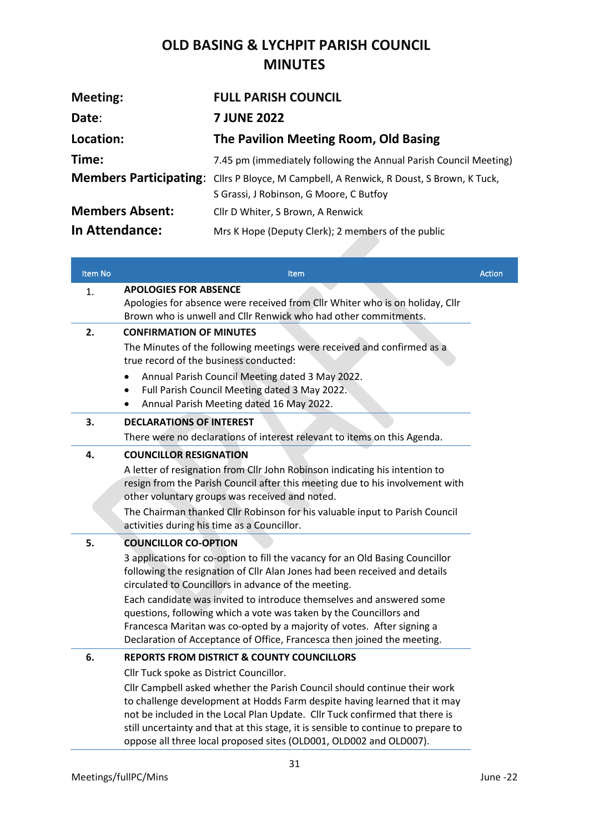## **OLD BASING & LYCHPIT PARISH COUNCIL MINUTES**

| <b>Meeting:</b>        | <b>FULL PARISH COUNCIL</b>                                                                     |
|------------------------|------------------------------------------------------------------------------------------------|
| Date:                  | <b>7 JUNE 2022</b>                                                                             |
| Location:              | The Pavilion Meeting Room, Old Basing                                                          |
| Time:                  | 7.45 pm (immediately following the Annual Parish Council Meeting)                              |
|                        | <b>Members Participating:</b> Cllrs P Bloyce, M Campbell, A Renwick, R Doust, S Brown, K Tuck, |
|                        | S Grassi, J Robinson, G Moore, C Butfoy                                                        |
| <b>Members Absent:</b> | Cllr D Whiter, S Brown, A Renwick                                                              |
| In Attendance:         | Mrs K Hope (Deputy Clerk); 2 members of the public                                             |

| Item No | <b>Item</b>                                                                                                                                                                                                                                                                                                                                                                                       | <b>Action</b> |
|---------|---------------------------------------------------------------------------------------------------------------------------------------------------------------------------------------------------------------------------------------------------------------------------------------------------------------------------------------------------------------------------------------------------|---------------|
| 1.      | <b>APOLOGIES FOR ABSENCE</b>                                                                                                                                                                                                                                                                                                                                                                      |               |
|         | Apologies for absence were received from Cllr Whiter who is on holiday, Cllr<br>Brown who is unwell and Cllr Renwick who had other commitments.                                                                                                                                                                                                                                                   |               |
| 2.      | <b>CONFIRMATION OF MINUTES</b>                                                                                                                                                                                                                                                                                                                                                                    |               |
|         | The Minutes of the following meetings were received and confirmed as a<br>true record of the business conducted:                                                                                                                                                                                                                                                                                  |               |
|         | Annual Parish Council Meeting dated 3 May 2022.<br>$\bullet$<br>Full Parish Council Meeting dated 3 May 2022.<br>$\bullet$<br>Annual Parish Meeting dated 16 May 2022.                                                                                                                                                                                                                            |               |
| 3.      | <b>DECLARATIONS OF INTEREST</b>                                                                                                                                                                                                                                                                                                                                                                   |               |
|         | There were no declarations of interest relevant to items on this Agenda.                                                                                                                                                                                                                                                                                                                          |               |
| 4.      | <b>COUNCILLOR RESIGNATION</b>                                                                                                                                                                                                                                                                                                                                                                     |               |
|         | A letter of resignation from Cllr John Robinson indicating his intention to<br>resign from the Parish Council after this meeting due to his involvement with<br>other voluntary groups was received and noted.                                                                                                                                                                                    |               |
|         | The Chairman thanked Cllr Robinson for his valuable input to Parish Council<br>activities during his time as a Councillor.                                                                                                                                                                                                                                                                        |               |
| 5.      | <b>COUNCILLOR CO-OPTION</b>                                                                                                                                                                                                                                                                                                                                                                       |               |
|         | 3 applications for co-option to fill the vacancy for an Old Basing Councillor<br>following the resignation of Cllr Alan Jones had been received and details<br>circulated to Councillors in advance of the meeting.                                                                                                                                                                               |               |
|         | Each candidate was invited to introduce themselves and answered some<br>questions, following which a vote was taken by the Councillors and<br>Francesca Maritan was co-opted by a majority of votes. After signing a<br>Declaration of Acceptance of Office, Francesca then joined the meeting.                                                                                                   |               |
| 6.      | <b>REPORTS FROM DISTRICT &amp; COUNTY COUNCILLORS</b>                                                                                                                                                                                                                                                                                                                                             |               |
|         | Cllr Tuck spoke as District Councillor.                                                                                                                                                                                                                                                                                                                                                           |               |
|         | Cllr Campbell asked whether the Parish Council should continue their work<br>to challenge development at Hodds Farm despite having learned that it may<br>not be included in the Local Plan Update. Cllr Tuck confirmed that there is<br>still uncertainty and that at this stage, it is sensible to continue to prepare to<br>oppose all three local proposed sites (OLD001, OLD002 and OLD007). |               |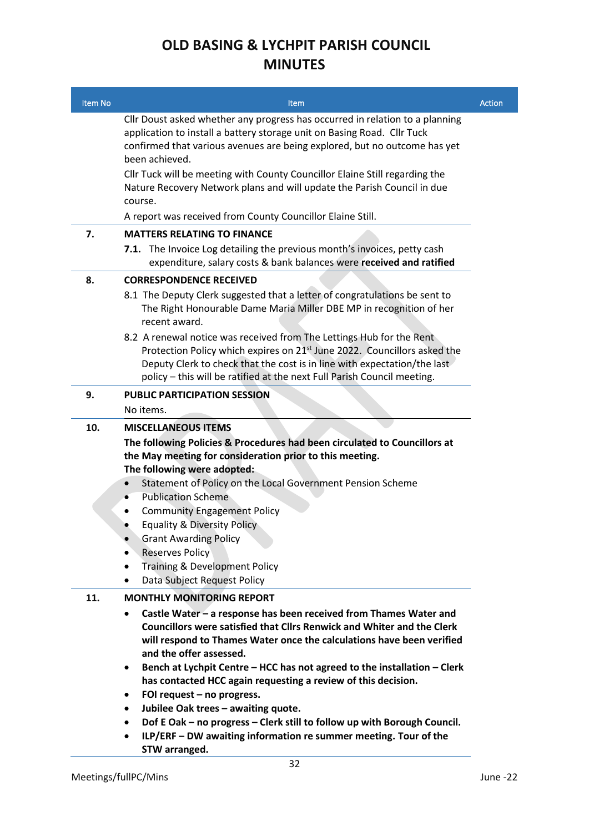## **OLD BASING & LYCHPIT PARISH COUNCIL MINUTES**

| Item No    | Item                                                                                                                                                                                                                                                                                                                                                                                                                                                                                                                                                                                                                                                 | <b>Action</b> |
|------------|------------------------------------------------------------------------------------------------------------------------------------------------------------------------------------------------------------------------------------------------------------------------------------------------------------------------------------------------------------------------------------------------------------------------------------------------------------------------------------------------------------------------------------------------------------------------------------------------------------------------------------------------------|---------------|
|            | Cllr Doust asked whether any progress has occurred in relation to a planning<br>application to install a battery storage unit on Basing Road. Cllr Tuck<br>confirmed that various avenues are being explored, but no outcome has yet<br>been achieved.                                                                                                                                                                                                                                                                                                                                                                                               |               |
|            | Cllr Tuck will be meeting with County Councillor Elaine Still regarding the<br>Nature Recovery Network plans and will update the Parish Council in due<br>course.                                                                                                                                                                                                                                                                                                                                                                                                                                                                                    |               |
|            | A report was received from County Councillor Elaine Still.                                                                                                                                                                                                                                                                                                                                                                                                                                                                                                                                                                                           |               |
| 7.         | <b>MATTERS RELATING TO FINANCE</b>                                                                                                                                                                                                                                                                                                                                                                                                                                                                                                                                                                                                                   |               |
|            | 7.1. The Invoice Log detailing the previous month's invoices, petty cash<br>expenditure, salary costs & bank balances were received and ratified                                                                                                                                                                                                                                                                                                                                                                                                                                                                                                     |               |
| 8.         | <b>CORRESPONDENCE RECEIVED</b>                                                                                                                                                                                                                                                                                                                                                                                                                                                                                                                                                                                                                       |               |
|            | 8.1 The Deputy Clerk suggested that a letter of congratulations be sent to<br>The Right Honourable Dame Maria Miller DBE MP in recognition of her<br>recent award.                                                                                                                                                                                                                                                                                                                                                                                                                                                                                   |               |
|            | 8.2 A renewal notice was received from The Lettings Hub for the Rent<br>Protection Policy which expires on 21 <sup>st</sup> June 2022. Councillors asked the<br>Deputy Clerk to check that the cost is in line with expectation/the last<br>policy - this will be ratified at the next Full Parish Council meeting.                                                                                                                                                                                                                                                                                                                                  |               |
| 9.         | <b>PUBLIC PARTICIPATION SESSION</b>                                                                                                                                                                                                                                                                                                                                                                                                                                                                                                                                                                                                                  |               |
|            | No items.                                                                                                                                                                                                                                                                                                                                                                                                                                                                                                                                                                                                                                            |               |
| 10.<br>11. | <b>MISCELLANEOUS ITEMS</b><br>The following Policies & Procedures had been circulated to Councillors at<br>the May meeting for consideration prior to this meeting.<br>The following were adopted:<br>Statement of Policy on the Local Government Pension Scheme<br>$\bullet$<br><b>Publication Scheme</b><br>$\bullet$<br><b>Community Engagement Policy</b><br>٠<br><b>Equality &amp; Diversity Policy</b><br><b>Grant Awarding Policy</b><br><b>Reserves Policy</b><br>٠<br><b>Training &amp; Development Policy</b><br>Data Subject Request Policy<br><b>MONTHLY MONITORING REPORT</b>                                                           |               |
|            | Castle Water - a response has been received from Thames Water and<br><b>Councillors were satisfied that Cllrs Renwick and Whiter and the Clerk</b><br>will respond to Thames Water once the calculations have been verified<br>and the offer assessed.<br>Bench at Lychpit Centre - HCC has not agreed to the installation - Clerk<br>$\bullet$<br>has contacted HCC again requesting a review of this decision.<br>FOI request - no progress.<br>٠<br>Jubilee Oak trees - awaiting quote.<br>٠<br>Dof E Oak - no progress - Clerk still to follow up with Borough Council.<br>٠<br>ILP/ERF - DW awaiting information re summer meeting. Tour of the |               |

**STW arranged.**